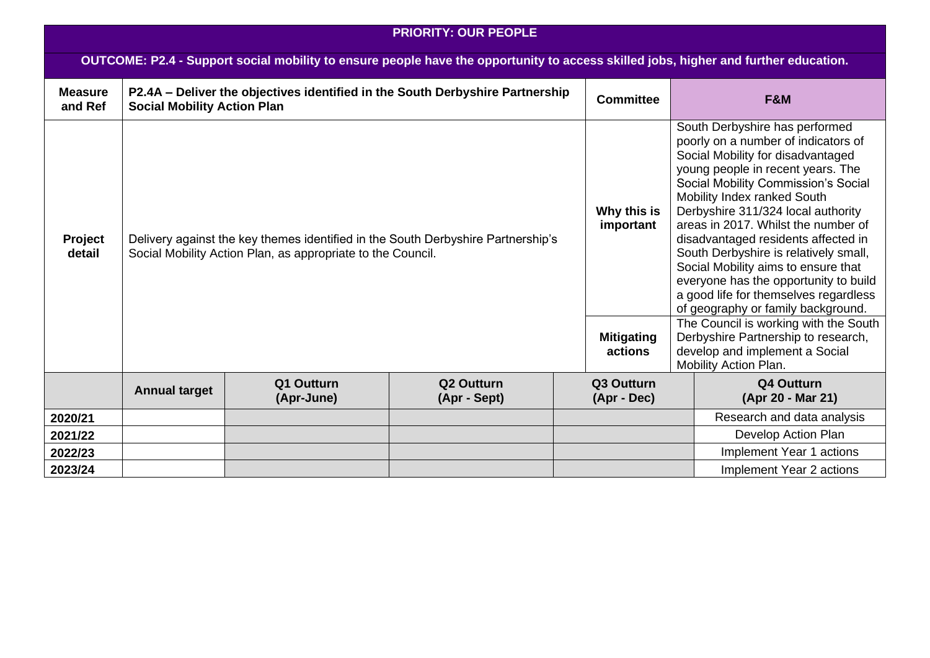| <b>PRIORITY: OUR PEOPLE</b>                                                                                                         |                                    |                                                                                                                                                 |                                                                               |                                                          |                                                                                                                                                                                                                                                                                                                                                                                                                                                                                                                                                                                                                                                                                              |                                 |  |  |
|-------------------------------------------------------------------------------------------------------------------------------------|------------------------------------|-------------------------------------------------------------------------------------------------------------------------------------------------|-------------------------------------------------------------------------------|----------------------------------------------------------|----------------------------------------------------------------------------------------------------------------------------------------------------------------------------------------------------------------------------------------------------------------------------------------------------------------------------------------------------------------------------------------------------------------------------------------------------------------------------------------------------------------------------------------------------------------------------------------------------------------------------------------------------------------------------------------------|---------------------------------|--|--|
| OUTCOME: P2.4 - Support social mobility to ensure people have the opportunity to access skilled jobs, higher and further education. |                                    |                                                                                                                                                 |                                                                               |                                                          |                                                                                                                                                                                                                                                                                                                                                                                                                                                                                                                                                                                                                                                                                              |                                 |  |  |
| <b>Measure</b><br>and Ref                                                                                                           | <b>Social Mobility Action Plan</b> |                                                                                                                                                 | P2.4A - Deliver the objectives identified in the South Derbyshire Partnership | <b>Committee</b>                                         |                                                                                                                                                                                                                                                                                                                                                                                                                                                                                                                                                                                                                                                                                              | F&M                             |  |  |
| Project<br>detail                                                                                                                   |                                    | Delivery against the key themes identified in the South Derbyshire Partnership's<br>Social Mobility Action Plan, as appropriate to the Council. |                                                                               | Why this is<br>important<br><b>Mitigating</b><br>actions | South Derbyshire has performed<br>poorly on a number of indicators of<br>Social Mobility for disadvantaged<br>young people in recent years. The<br>Social Mobility Commission's Social<br>Mobility Index ranked South<br>Derbyshire 311/324 local authority<br>areas in 2017. Whilst the number of<br>disadvantaged residents affected in<br>South Derbyshire is relatively small,<br>Social Mobility aims to ensure that<br>everyone has the opportunity to build<br>a good life for themselves regardless<br>of geography or family background.<br>The Council is working with the South<br>Derbyshire Partnership to research,<br>develop and implement a Social<br>Mobility Action Plan. |                                 |  |  |
|                                                                                                                                     | <b>Annual target</b>               | Q1 Outturn<br>(Apr-June)                                                                                                                        | Q <sub>2</sub> Outturn<br>(Apr - Sept)                                        | Q3 Outturn<br>(Apr - Dec)                                |                                                                                                                                                                                                                                                                                                                                                                                                                                                                                                                                                                                                                                                                                              | Q4 Outturn<br>(Apr 20 - Mar 21) |  |  |
| 2020/21                                                                                                                             |                                    |                                                                                                                                                 |                                                                               |                                                          |                                                                                                                                                                                                                                                                                                                                                                                                                                                                                                                                                                                                                                                                                              | Research and data analysis      |  |  |
| 2021/22                                                                                                                             |                                    |                                                                                                                                                 |                                                                               |                                                          |                                                                                                                                                                                                                                                                                                                                                                                                                                                                                                                                                                                                                                                                                              | Develop Action Plan             |  |  |
| 2022/23                                                                                                                             |                                    |                                                                                                                                                 |                                                                               |                                                          |                                                                                                                                                                                                                                                                                                                                                                                                                                                                                                                                                                                                                                                                                              | Implement Year 1 actions        |  |  |
| 2023/24                                                                                                                             |                                    |                                                                                                                                                 |                                                                               |                                                          |                                                                                                                                                                                                                                                                                                                                                                                                                                                                                                                                                                                                                                                                                              | Implement Year 2 actions        |  |  |